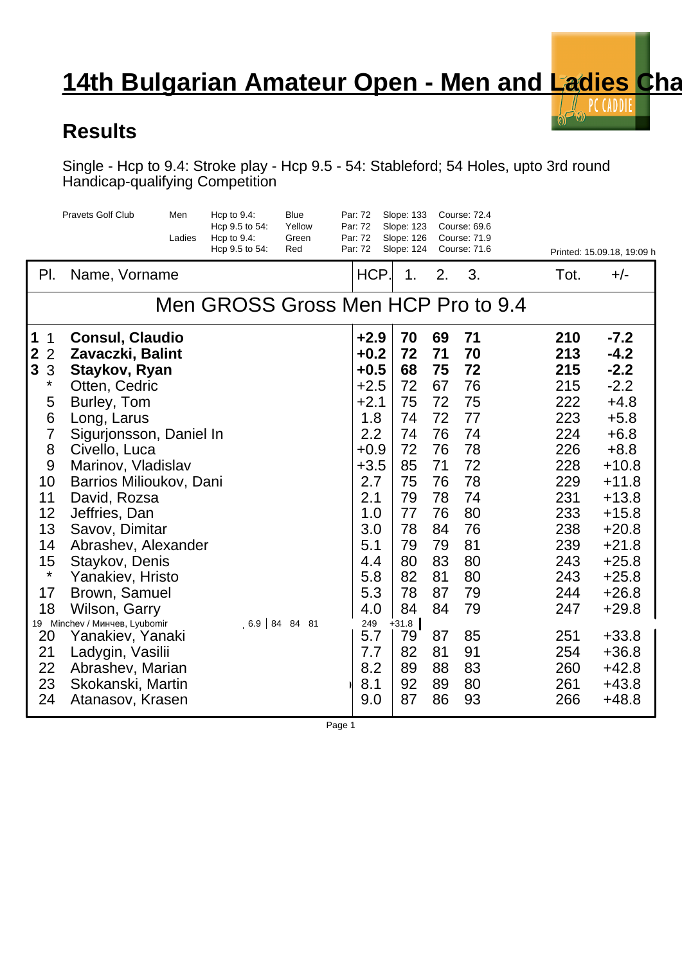## **14th Bulgarian Amateur Open - Men and Ladies Champion - 14th Bulgarian Amateur Open - Men and Ladies Champion**

 $\sqrt{2}$  $\bigcirc$ 

## **Results**

Single - Hcp to 9.4: Stroke play - Hcp 9.5 - 54: Stableford; 54 Holes, upto 3rd round Handicap-qualifying Competition

|                                                                                                                                        | <b>Pravets Golf Club</b>                                                                                                                                                                                                                                   | Men<br>Ladies | Hcp to $9.4$ :<br>Hcp 9.5 to 54:<br>Hcp to $9.4$ :<br>Hcp 9.5 to 54: | <b>Blue</b><br>Yellow<br>Green<br>Red | Par: 72<br>Par: 72<br>Par: 72<br>Par: 72                                                                     | Slope: 133<br>Slope: 123<br>Slope: 126<br>Slope: 124                       |                                                                            | <b>Course: 72.4</b><br>Course: 69.6<br><b>Course: 71.9</b><br>Course: 71.6 |                                                                                         | Printed: 15.09.18, 19:09 h                                                                                                          |
|----------------------------------------------------------------------------------------------------------------------------------------|------------------------------------------------------------------------------------------------------------------------------------------------------------------------------------------------------------------------------------------------------------|---------------|----------------------------------------------------------------------|---------------------------------------|--------------------------------------------------------------------------------------------------------------|----------------------------------------------------------------------------|----------------------------------------------------------------------------|----------------------------------------------------------------------------|-----------------------------------------------------------------------------------------|-------------------------------------------------------------------------------------------------------------------------------------|
| PI.                                                                                                                                    | Name, Vorname                                                                                                                                                                                                                                              |               |                                                                      |                                       | HCP.                                                                                                         | 1.                                                                         | 2.                                                                         | 3.                                                                         | Tot.                                                                                    | $+/-$                                                                                                                               |
|                                                                                                                                        |                                                                                                                                                                                                                                                            |               | Men GROSS Gross Men HCP Pro to 9.4                                   |                                       |                                                                                                              |                                                                            |                                                                            |                                                                            |                                                                                         |                                                                                                                                     |
| 1<br>1<br>$\mathbf{2}$<br>$\overline{2}$<br>$\mathbf{3}$<br>3<br>$\star$<br>5<br>6<br>$\overline{7}$<br>8<br>9<br>10<br>11<br>12<br>13 | <b>Consul, Claudio</b><br>Zavaczki, Balint<br>Staykov, Ryan<br>Otten, Cedric<br>Burley, Tom<br>Long, Larus<br>Sigurjonsson, Daniel In<br>Civello, Luca<br>Marinov, Vladislav<br>Barrios Milioukov, Dani<br>David, Rozsa<br>Jeffries, Dan<br>Savov, Dimitar |               |                                                                      |                                       | $+2.9$<br>$+0.2$<br>$+0.5$<br>$+2.5$<br>$+2.1$<br>1.8<br>2.2<br>$+0.9$<br>$+3.5$<br>2.7<br>2.1<br>1.0<br>3.0 | 70<br>72<br>68<br>72<br>75<br>74<br>74<br>72<br>85<br>75<br>79<br>77<br>78 | 69<br>71<br>75<br>67<br>72<br>72<br>76<br>76<br>71<br>76<br>78<br>76<br>84 | 71<br>70<br>72<br>76<br>75<br>77<br>74<br>78<br>72<br>78<br>74<br>80<br>76 | 210<br>213<br>215<br>215<br>222<br>223<br>224<br>226<br>228<br>229<br>231<br>233<br>238 | $-7.2$<br>$-4.2$<br>$-2.2$<br>$-2.2$<br>$+4.8$<br>$+5.8$<br>$+6.8$<br>$+8.8$<br>$+10.8$<br>$+11.8$<br>$+13.8$<br>$+15.8$<br>$+20.8$ |
| 14<br>15<br>$\star$<br>17<br>18<br>19 Minchev /<br>20<br>21<br>22<br>23<br>24                                                          | Abrashev, Alexander<br>Staykov, Denis<br>Yanakiev, Hristo<br>Brown, Samuel<br>Wilson, Garry<br>, Lyubomir<br>Yanakiev, Yanaki<br>Ladygin, Vasilii<br>Abrashev, Marian<br>Skokanski, Martin<br>Atanasov, Krasen                                             |               |                                                                      | $6.9$ 84 84 81                        | 5.1<br>4.4<br>5.8<br>5.3<br>4.0<br>249<br>5.7<br>7.7<br>8.2<br>8.1<br>9.0                                    | 79<br>80<br>82<br>78<br>84<br>$+31.8$<br>79<br>82<br>89<br>92<br>87        | 79<br>83<br>81<br>87<br>84<br>87<br>81<br>88<br>89<br>86                   | 81<br>80<br>80<br>79<br>79<br>85<br>91<br>83<br>80<br>93                   | 239<br>243<br>243<br>244<br>247<br>251<br>254<br>260<br>261<br>266                      | $+21.8$<br>$+25.8$<br>$+25.8$<br>$+26.8$<br>$+29.8$<br>$+33.8$<br>$+36.8$<br>$+42.8$<br>$+43.8$<br>$+48.8$                          |

Page 1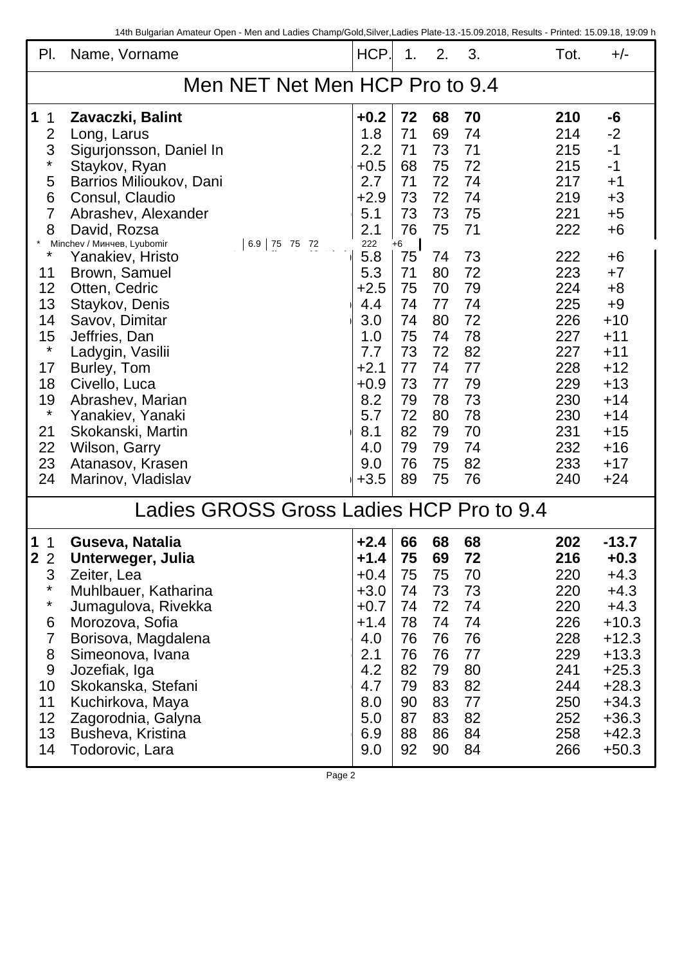| PI.                                      | Name, Vorname                           | HCP.          | 1.       | 2.       | 3.       | Tot.       | $+/-$        |  |
|------------------------------------------|-----------------------------------------|---------------|----------|----------|----------|------------|--------------|--|
| Men NET Net Men HCP Pro to 9.4           |                                         |               |          |          |          |            |              |  |
| 1<br>1                                   | Zavaczki, Balint                        | $+0.2$        | 72       | 68       | 70       | 210        | -6           |  |
| $\overline{2}$                           | Long, Larus                             | 1.8           | 71       | 69       | 74       | 214        | $-2$         |  |
| 3                                        | Sigurjonsson, Daniel In                 | 2.2           | 71       | 73       | 71       | 215        | $-1$         |  |
| $^\star$                                 | Staykov, Ryan                           | $+0.5$        | 68       | 75       | 72       | 215        | $-1$         |  |
| 5                                        | Barrios Milioukov, Dani                 | 2.7           | 71       | 72       | 74       | 217        | $+1$         |  |
| 6                                        | Consul, Claudio                         | $+2.9$        | 73       | 72       | 74       | 219        | $+3$         |  |
| 7                                        | Abrashev, Alexander                     | 5.1           | 73       | 73       | 75       | 221        | $+5$         |  |
| 8                                        | David, Rozsa                            | 2.1           | 76       | 75       | 71       | 222        | +6           |  |
| $^\star$                                 | Minchev /<br>, Lyubomir<br>6.9 75 75 72 | 222           | +6       |          |          |            |              |  |
|                                          | Yanakiev, Hristo                        | 5.8           | 75       | 74       | 73       | 222        | $+6$         |  |
| 11<br>12                                 | Brown, Samuel<br>Otten, Cedric          | 5.3<br>$+2.5$ | 71<br>75 | 80<br>70 | 72<br>79 | 223<br>224 | $+7$         |  |
| 13                                       |                                         | 4.4           | 74       | 77       | 74       | 225        | $+8$<br>$+9$ |  |
| 14                                       | Staykov, Denis                          | 3.0           | 74       | 80       | 72       | 226        | $+10$        |  |
| 15                                       | Savov, Dimitar<br>Jeffries, Dan         | 1.0           | 75       | 74       | 78       | 227        | $+11$        |  |
| $\star$                                  |                                         | 7.7           | 73       | 72       | 82       | 227        | $+11$        |  |
| 17                                       | Ladygin, Vasilii<br>Burley, Tom         | $+2.1$        | 77       | 74       | 77       | 228        | $+12$        |  |
| 18                                       | Civello, Luca                           | $+0.9$        | 73       | 77       | 79       | 229        | $+13$        |  |
| 19                                       | Abrashev, Marian                        | 8.2           | 79       | 78       | 73       | 230        | $+14$        |  |
| $\ast$                                   | Yanakiev, Yanaki                        | 5.7           | 72       | 80       | 78       | 230        | $+14$        |  |
| 21                                       | Skokanski, Martin                       | 8.1           | 82       | 79       | 70       | 231        | $+15$        |  |
| 22                                       | Wilson, Garry                           | 4.0           | 79       | 79       | 74       | 232        | $+16$        |  |
| 23                                       | Atanasov, Krasen                        | 9.0           | 76       | 75       | 82       | 233        | $+17$        |  |
| 24                                       | Marinov, Vladislav                      | $+3.5$        | 89       | 75       | 76       | 240        | $+24$        |  |
|                                          |                                         |               |          |          |          |            |              |  |
| Ladies GROSS Gross Ladies HCP Pro to 9.4 |                                         |               |          |          |          |            |              |  |
| 1<br>$\overline{1}$                      | Guseva, Natalia                         | $+2.4$        | 66       | 68       | 68       | 202        | $-13.7$      |  |
| $\mathbf 2$<br>$\sim$<br>$\angle$        | Unterweger, Julia                       | $+1.4$        | 75       | 69       | 72       | 216        | $+0.3$       |  |
| 3                                        | Zeiter, Lea                             | $+0.4$        | 75       | 75       | 70       | 220        | $+4.3$       |  |
| $\star$                                  | Muhlbauer, Katharina                    | $+3.0$        | 74       | 73       | 73       | 220        | $+4.3$       |  |
| $\ast$                                   | Jumagulova, Rivekka                     | $+0.7$        | 74       | 72       | 74       | 220        | $+4.3$       |  |
| 6                                        | Morozova, Sofia                         | $+1.4$        | 78       | 74       | 74       | 226        | $+10.3$      |  |
| $\overline{7}$                           | Borisova, Magdalena                     | 4.0           | 76       | 76       | 76       | 228        | $+12.3$      |  |
| 8                                        | Simeonova, Ivana                        | 2.1           | 76       | 76       | 77       | 229        | $+13.3$      |  |
| 9                                        | Jozefiak, Iga                           | 4.2<br>4.7    | 82       | 79       | 80       | 241        | $+25.3$      |  |
| 10                                       | Skokanska, Stefani                      |               | 79       | 83       | 82       | 244        | $+28.3$      |  |
| 11                                       | Kuchirkova, Maya                        |               | 90       | 83       | 77       | 250        | $+34.3$      |  |
| 12                                       | Zagorodnia, Galyna                      | 5.0           | 87       | 83       | 82       | 252        | $+36.3$      |  |
| 13                                       | Busheva, Kristina                       | 6.9           | 88       | 86       | 84       | 258        | $+42.3$      |  |
| 14                                       | Todorovic, Lara                         | 9.0           | 92       | 90       | 84       | 266        | $+50.3$      |  |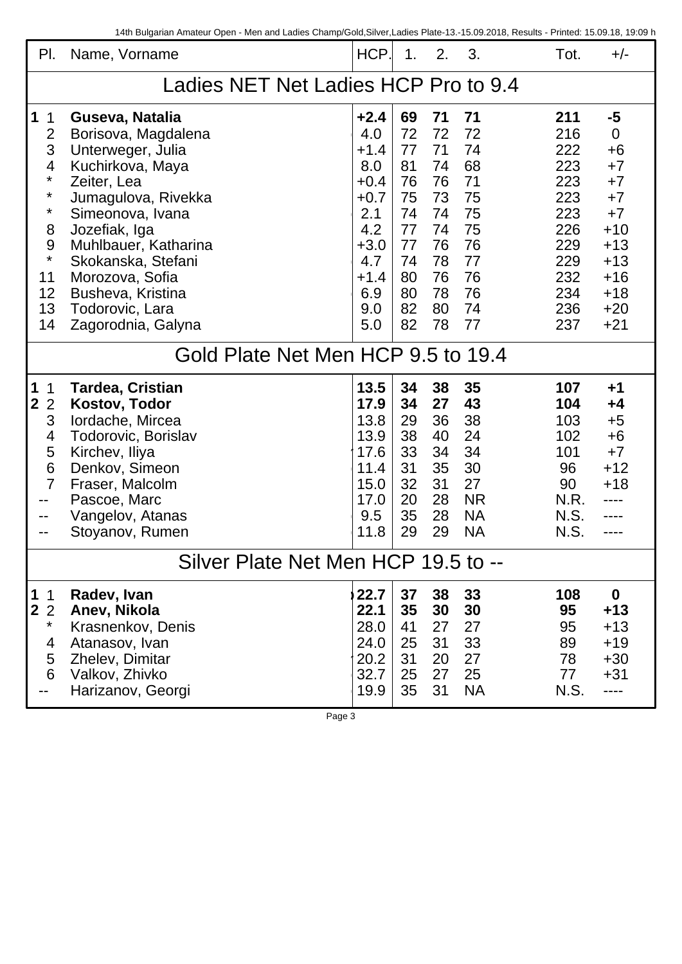| PI.                                                                                                                               | Name, Vorname                                                                                                                                                                                                                                                                             |                                                                                                                  | $\mathbf{1}$ .                                                                   | 2.                                                                               | 3.                                                                               | Tot.                                                                                           | $+/-$                                                                                                                      |  |
|-----------------------------------------------------------------------------------------------------------------------------------|-------------------------------------------------------------------------------------------------------------------------------------------------------------------------------------------------------------------------------------------------------------------------------------------|------------------------------------------------------------------------------------------------------------------|----------------------------------------------------------------------------------|----------------------------------------------------------------------------------|----------------------------------------------------------------------------------|------------------------------------------------------------------------------------------------|----------------------------------------------------------------------------------------------------------------------------|--|
| Ladies NET Net Ladies HCP Pro to 9.4                                                                                              |                                                                                                                                                                                                                                                                                           |                                                                                                                  |                                                                                  |                                                                                  |                                                                                  |                                                                                                |                                                                                                                            |  |
| $\mathbf{1}$<br>$\mathbf{1}$<br>$\overline{2}$<br>3<br>4<br>$\star$<br>*<br>$^\star$<br>8<br>9<br>$\star$<br>11<br>12<br>13<br>14 | Guseva, Natalia<br>Borisova, Magdalena<br>Unterweger, Julia<br>Kuchirkova, Maya<br>Zeiter, Lea<br>Jumagulova, Rivekka<br>Simeonova, Ivana<br>Jozefiak, Iga<br>Muhlbauer, Katharina<br>Skokanska, Stefani<br>Morozova, Sofia<br>Busheva, Kristina<br>Todorovic, Lara<br>Zagorodnia, Galyna | $+2.4$<br>4.0<br>$+1.4$<br>8.0<br>$+0.4$<br>$+0.7$<br>2.1<br>4.2<br>$+3.0$<br>4.7<br>$+1.4$<br>6.9<br>9.0<br>5.0 | 69<br>72<br>77<br>81<br>76<br>75<br>74<br>77<br>77<br>74<br>80<br>80<br>82<br>82 | 71<br>72<br>71<br>74<br>76<br>73<br>74<br>74<br>76<br>78<br>76<br>78<br>80<br>78 | 71<br>72<br>74<br>68<br>71<br>75<br>75<br>75<br>76<br>77<br>76<br>76<br>74<br>77 | 211<br>216<br>222<br>223<br>223<br>223<br>223<br>226<br>229<br>229<br>232<br>234<br>236<br>237 | $-5$<br>$\mathbf 0$<br>$+6$<br>$+7$<br>$+7$<br>$+7$<br>$+7$<br>$+10$<br>$+13$<br>$+13$<br>$+16$<br>$+18$<br>$+20$<br>$+21$ |  |
| Gold Plate Net Men HCP 9.5 to 19.4                                                                                                |                                                                                                                                                                                                                                                                                           |                                                                                                                  |                                                                                  |                                                                                  |                                                                                  |                                                                                                |                                                                                                                            |  |
| $\mathbf 1$<br>1<br>$\overline{2}$<br>$\overline{2}$<br>3<br>4<br>5<br>6<br>$\overline{7}$<br>--<br>--                            | <b>Tardea, Cristian</b><br><b>Kostov, Todor</b><br>lordache, Mircea<br>Todorovic, Borislav<br>Kirchev, Iliya<br>Denkov, Simeon<br>Fraser, Malcolm<br>Pascoe, Marc<br>Vangelov, Atanas<br>Stoyanov, Rumen                                                                                  | 13.5<br>17.9<br>13.8<br>13.9<br>17.6<br>11.4<br>15.0<br>17.0<br>9.5<br>11.8                                      | 34<br>34<br>29<br>38<br>33<br>31<br>32<br>20<br>35<br>29                         | 38<br>27<br>36<br>40<br>34<br>35<br>31<br>28<br>28<br>29                         | 35<br>43<br>38<br>24<br>34<br>30<br>27<br><b>NR</b><br><b>NA</b><br><b>NA</b>    | 107<br>104<br>103<br>102<br>101<br>96<br>90<br>N.R.<br>N.S.<br>N.S.                            | $+1$<br>$+4$<br>$+5$<br>$+6$<br>$+7$<br>$+12$<br>$+18$<br>.                                                                |  |
| Silver Plate Net Men HCP 19.5 to --                                                                                               |                                                                                                                                                                                                                                                                                           |                                                                                                                  |                                                                                  |                                                                                  |                                                                                  |                                                                                                |                                                                                                                            |  |
| $\mathbf{1}$<br>$\mathbf{1}$<br>$\mathbf{2}$<br>$\overline{2}$<br>*<br>4<br>5<br>6                                                | Radev, Ivan<br>Anev, Nikola<br>Krasnenkov, Denis<br>Atanasov, Ivan<br>Zhelev, Dimitar<br>Valkov, Zhivko<br>Harizanov, Georgi                                                                                                                                                              | 22.7<br>22.1<br>28.0<br>24.0<br>20.2<br>32.7<br>19.9                                                             | 37<br>35<br>41<br>25<br>31<br>25<br>35                                           | 38<br>30<br>27<br>31<br>20<br>27<br>31                                           | 33<br>30<br>27<br>33<br>27<br>25<br><b>NA</b>                                    | 108<br>95<br>95<br>89<br>78<br>77<br>N.S.                                                      | $\bf{0}$<br>$+13$<br>$+13$<br>$+19$<br>$+30$<br>$+31$<br>----                                                              |  |

Page 3